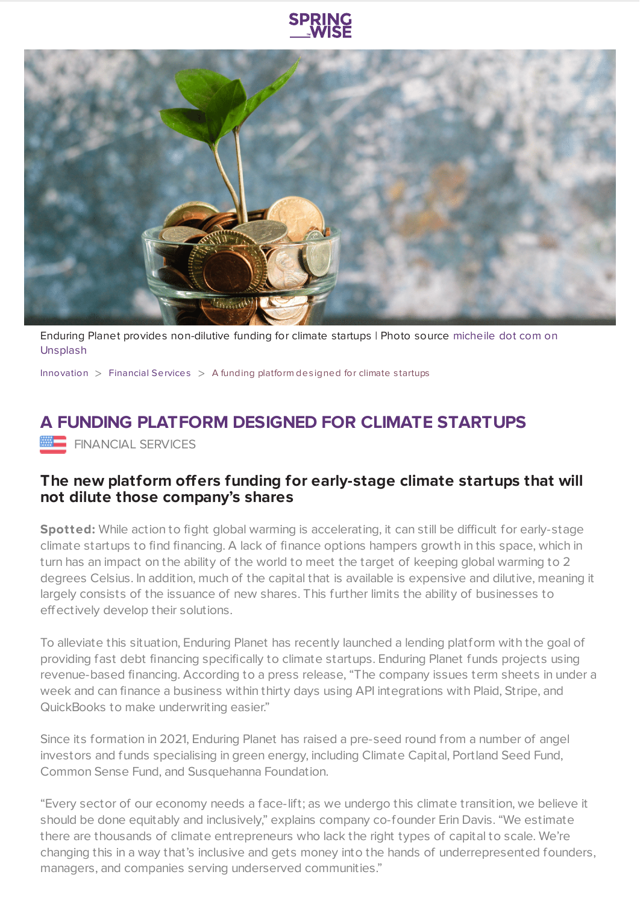

Enduring Planet provides [non-dilutive](https://unsplash.com/photos/ZVprbBmT8QA) funding for climate startups | Photo source micheile dot com on Unsplash

[Innovation](https://www.springwise.com/search?type=innovation)  $>$  [Financial](https://www.springwise.com/search?type=innovation§or=financial-services) Services  $>$  A funding platform designed for climate startups

## **A FUNDING PLATFORM DESIGNED FOR CLIMATE STARTUPS**

**FINANCIAL SERVICES** 

## **The new platform offers funding for early-stage climate startups that will not dilute those company's shares**

**Spotted:** While action to fight global warming is accelerating, it can still be difficult for early-stage climate startups to find financing. A lack of finance options hampers growth in this space, which in turn has an impact on the ability of the world to meet the target of keeping global warming to 2 degrees Celsius. In addition, much of the capital that is available is expensive and dilutive, meaning it largely consists of the issuance of new shares. This further limits the ability of businesses to effectively develop their solutions.

To alleviate this situation, Enduring Planet has recently launched a lending platform with the goal of providing fast debt financing specifically to climate startups. Enduring Planet funds projects using revenue-based financing. According to a press release, "The company issues term sheets in under a week and can finance a business within thirty days using API integrations with Plaid, Stripe, and QuickBooks to make underwriting easier."

Since its formation in 2021, Enduring Planet has raised a pre-seed round from a number of angel investors and funds specialising in green energy, including Climate Capital, Portland Seed Fund, Common Sense Fund, and Susquehanna Foundation.

"Every sector of our economy needs a face-lift; as we undergo this climate transition, we believe it should be done equitably and inclusively," explains company co-founder Erin Davis. "We estimate there are thousands of climate entrepreneurs who lack the right types of capital to scale. We're changing this in a way that's inclusive and gets money into the hands of underrepresented founders, managers, and companies serving underserved communities."